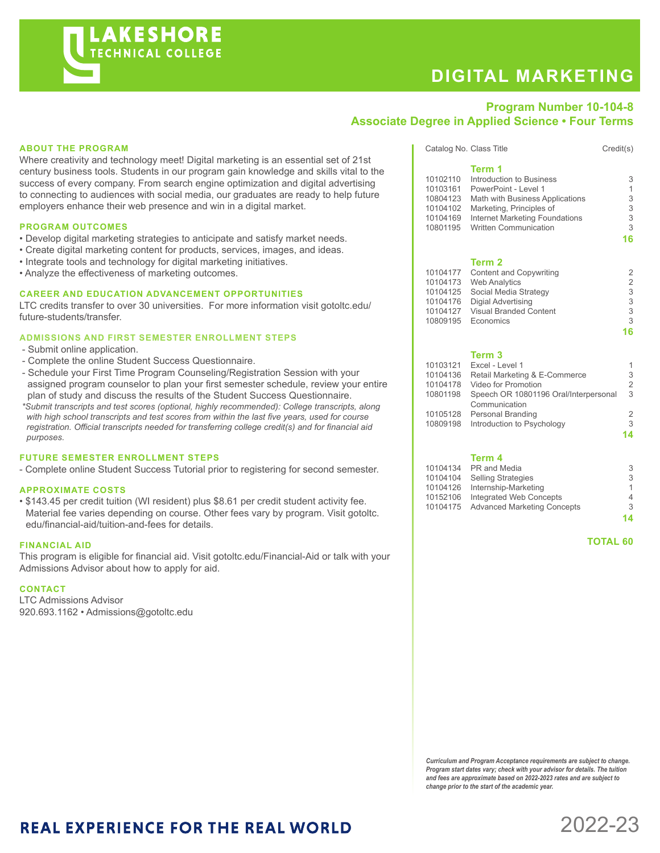# **AKESHORE TECHNICAL COLLEGE**

# **DIGITAL MARKETING**

Catalog No. Class Title Credit(s)

### **Program Number 10-104-8 Associate Degree in Applied Science • Four Terms**

#### **ABOUT THE PROGRAM**

Where creativity and technology meet! Digital marketing is an essential set of 21st century business tools. Students in our program gain knowledge and skills vital to the success of every company. From search engine optimization and digital advertising to connecting to audiences with social media, our graduates are ready to help future employers enhance their web presence and win in a digital market.

#### **PROGRAM OUTCOMES**

- Develop digital marketing strategies to anticipate and satisfy market needs.
- Create digital marketing content for products, services, images, and ideas.
- Integrate tools and technology for digital marketing initiatives.
- Analyze the effectiveness of marketing outcomes.

#### **CAREER AND EDUCATION ADVANCEMENT OPPORTUNITIES**

LTC credits transfer to over 30 universities. For more information visit gotoltc.edu/ future-students/transfer.

#### **ADMISSIONS AND FIRST SEMESTER ENROLLMENT STEPS**

- Submit online application.
- Complete the online Student Success Questionnaire.
- Schedule your First Time Program Counseling/Registration Session with your assigned program counselor to plan your first semester schedule, review your entire plan of study and discuss the results of the Student Success Questionnaire.
- *\*Submit transcripts and test scores (optional, highly recommended): College transcripts, along with high school transcripts and test scores from within the last five years, used for course registration. Official transcripts needed for transferring college credit(s) and for financial aid purposes.*

#### **FUTURE SEMESTER ENROLLMENT STEPS**

- Complete online Student Success Tutorial prior to registering for second semester.

#### **APPROXIMATE COSTS**

• \$143.45 per credit tuition (WI resident) plus \$8.61 per credit student activity fee. Material fee varies depending on course. Other fees vary by program. Visit gotoltc. edu/financial-aid/tuition-and-fees for details.

#### **FINANCIAL AID**

This program is eligible for financial aid. Visit gotoltc.edu/Financial-Aid or talk with your Admissions Advisor about how to apply for aid.

#### **CONTACT**

LTC Admissions Advisor 920.693.1162 • Admissions@gotoltc.edu

|          | Term 1                                |                |
|----------|---------------------------------------|----------------|
| 10102110 | Introduction to Business              | 3              |
| 10103161 | PowerPoint - Level 1                  | 1              |
| 10804123 | Math with Business Applications       | 3              |
| 10104102 | Marketing, Principles of              | 3              |
| 10104169 | <b>Internet Marketing Foundations</b> | 3              |
| 10801195 | <b>Written Communication</b>          | 3              |
|          |                                       | 16             |
|          | Term 2                                |                |
| 10104177 | <b>Content and Copywriting</b>        | 2              |
| 10104173 | <b>Web Analytics</b>                  | $\overline{2}$ |
| 10104125 | Social Media Strategy                 | 3              |
|          |                                       |                |
| 10104176 | Digial Advertising                    | 3              |
| 10104127 | <b>Visual Branded Content</b>         | 3              |

#### **Term 3**

| 10103121 | Excel - Level 1                       | 1  |
|----------|---------------------------------------|----|
| 10104136 | Retail Marketing & E-Commerce         | 3  |
| 10104178 | Video for Promotion                   | 2  |
| 10801198 | Speech OR 10801196 Oral/Interpersonal | 3  |
|          | Communication                         |    |
|          | 10105128 Personal Branding            | 2  |
|          | 10809198 Introduction to Psychology   | 3  |
|          |                                       | 14 |
|          |                                       |    |

**16**

#### **Term 4**

|          | 10104134 PR and Media                | 3  |
|----------|--------------------------------------|----|
|          | 10104104 Selling Strategies          | 3  |
|          | 10104126 Internship-Marketing        | 1  |
| 10152106 | Integrated Web Concepts              | 4  |
|          | 10104175 Advanced Marketing Concepts | 3  |
|          |                                      | 14 |

 **TOTAL 60**

*Curriculum and Program Acceptance requirements are subject to change. Program start dates vary; check with your advisor for details. The tuition and fees are approximate based on 2022-2023 rates and are subject to change prior to the start of the academic year.* 

## **REAL EXPERIENCE FOR THE REAL WORLD**